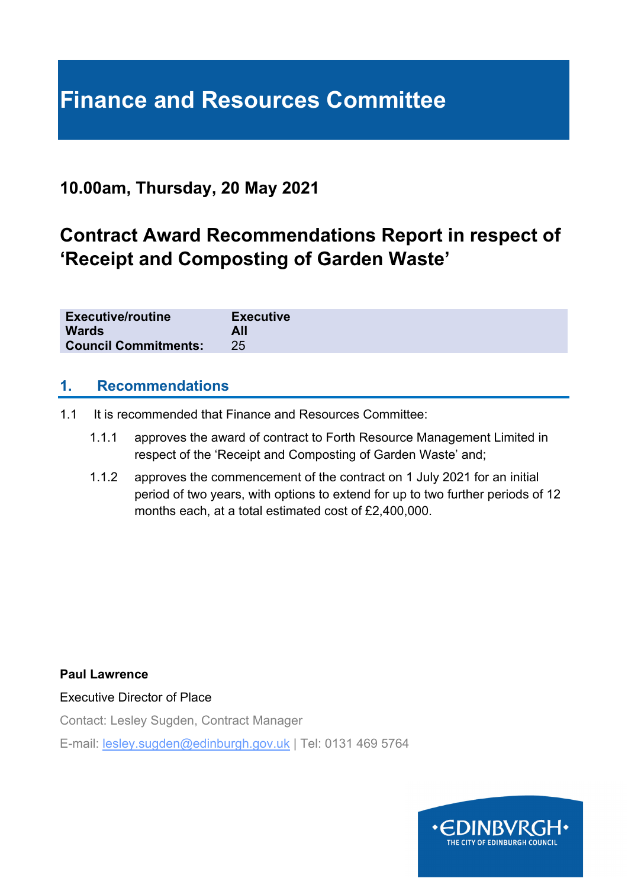# **Finance and Resources Committee**

## **10.00am, Thursday, 20 May 2021**

# **Contract Award Recommendations Report in respect of 'Receipt and Composting of Garden Waste'**

| <b>Executive/routine</b>    | <b>Executive</b> |
|-----------------------------|------------------|
| <b>Wards</b>                | All              |
| <b>Council Commitments:</b> |                  |

#### **1. Recommendations**

- 1.1 It is recommended that Finance and Resources Committee:
	- 1.1.1 approves the award of contract to Forth Resource Management Limited in respect of the 'Receipt and Composting of Garden Waste' and;
	- 1.1.2 approves the commencement of the contract on 1 July 2021 for an initial period of two years, with options to extend for up to two further periods of 12 months each, at a total estimated cost of £2,400,000.

#### **Paul Lawrence**

Executive Director of Place

Contact: Lesley Sugden, Contract Manager

E-mail: lesley.sugden@edinburgh.gov.uk | Tel: 0131 469 5764

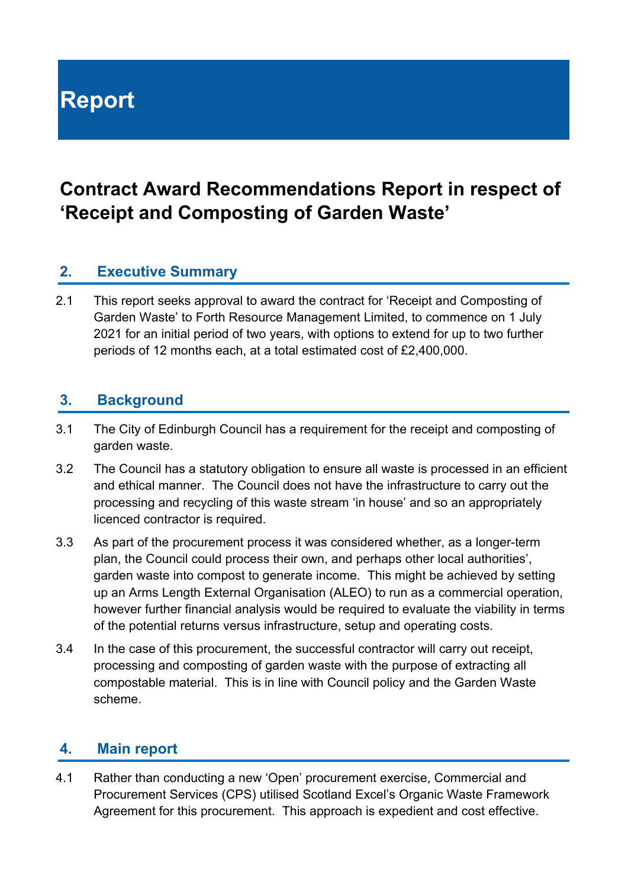# **Report**

## **Contract Award Recommendations Report in respect of 'Receipt and Composting of Garden Waste'**

#### **2. Executive Summary**

2.1 This report seeks approval to award the contract for 'Receipt and Composting of Garden Waste' to Forth Resource Management Limited, to commence on 1 July 2021 for an initial period of two years, with options to extend for up to two further periods of 12 months each, at a total estimated cost of £2,400,000.

#### **3. Background**

- 3.1 The City of Edinburgh Council has a requirement for the receipt and composting of garden waste.
- 3.2 The Council has a statutory obligation to ensure all waste is processed in an efficient and ethical manner. The Council does not have the infrastructure to carry out the processing and recycling of this waste stream 'in house' and so an appropriately licenced contractor is required.
- 3.3 As part of the procurement process it was considered whether, as a longer-term plan, the Council could process their own, and perhaps other local authorities', garden waste into compost to generate income. This might be achieved by setting up an Arms Length External Organisation (ALEO) to run as a commercial operation, however further financial analysis would be required to evaluate the viability in terms of the potential returns versus infrastructure, setup and operating costs.
- 3.4 In the case of this procurement, the successful contractor will carry out receipt, processing and composting of garden waste with the purpose of extracting all compostable material. This is in line with Council policy and the Garden Waste scheme.

#### **4. Main report**

4.1 Rather than conducting a new 'Open' procurement exercise, Commercial and Procurement Services (CPS) utilised Scotland Excel's Organic Waste Framework Agreement for this procurement. This approach is expedient and cost effective.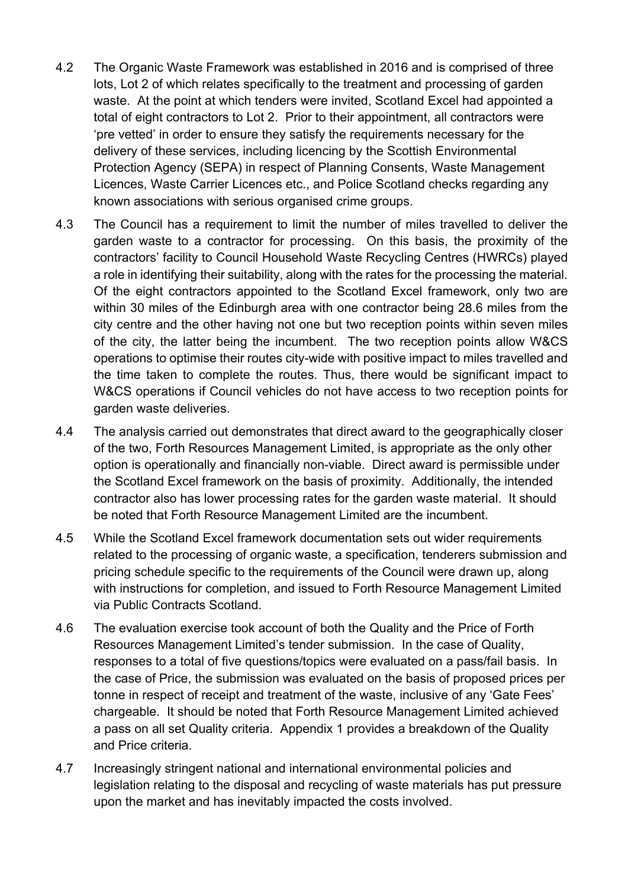- 4.2 The Organic Waste Framework was established in 2016 and is comprised of three lots, Lot 2 of which relates specifically to the treatment and processing of garden waste. At the point at which tenders were invited, Scotland Excel had appointed a total of eight contractors to Lot 2. Prior to their appointment, all contractors were 'pre vetted' in order to ensure they satisfy the requirements necessary for the delivery of these services, including licencing by the Scottish Environmental Protection Agency (SEPA) in respect of Planning Consents, Waste Management Licences, Waste Carrier Licences etc., and Police Scotland checks regarding any known associations with serious organised crime groups.
- 4.3 The Council has a requirement to limit the number of miles travelled to deliver the garden waste to a contractor for processing. On this basis, the proximity of the contractors' facility to Council Household Waste Recycling Centres (HWRCs) played a role in identifying their suitability, along with the rates for the processing the material. Of the eight contractors appointed to the Scotland Excel framework, only two are within 30 miles of the Edinburgh area with one contractor being 28.6 miles from the city centre and the other having not one but two reception points within seven miles of the city, the latter being the incumbent. The two reception points allow W&CS operations to optimise their routes city-wide with positive impact to miles travelled and the time taken to complete the routes. Thus, there would be significant impact to W&CS operations if Council vehicles do not have access to two reception points for garden waste deliveries.
- 4.4 The analysis carried out demonstrates that direct award to the geographically closer of the two, Forth Resources Management Limited, is appropriate as the only other option is operationally and financially non-viable. Direct award is permissible under the Scotland Excel framework on the basis of proximity. Additionally, the intended contractor also has lower processing rates for the garden waste material. It should be noted that Forth Resource Management Limited are the incumbent.
- 4.5 While the Scotland Excel framework documentation sets out wider requirements related to the processing of organic waste, a specification, tenderers submission and pricing schedule specific to the requirements of the Council were drawn up, along with instructions for completion, and issued to Forth Resource Management Limited via Public Contracts Scotland.
- 4.6 The evaluation exercise took account of both the Quality and the Price of Forth Resources Management Limited's tender submission. In the case of Quality, responses to a total of five questions/topics were evaluated on a pass/fail basis. In the case of Price, the submission was evaluated on the basis of proposed prices per tonne in respect of receipt and treatment of the waste, inclusive of any 'Gate Fees' chargeable. It should be noted that Forth Resource Management Limited achieved a pass on all set Quality criteria. Appendix 1 provides a breakdown of the Quality and Price criteria.
- 4.7 Increasingly stringent national and international environmental policies and legislation relating to the disposal and recycling of waste materials has put pressure upon the market and has inevitably impacted the costs involved.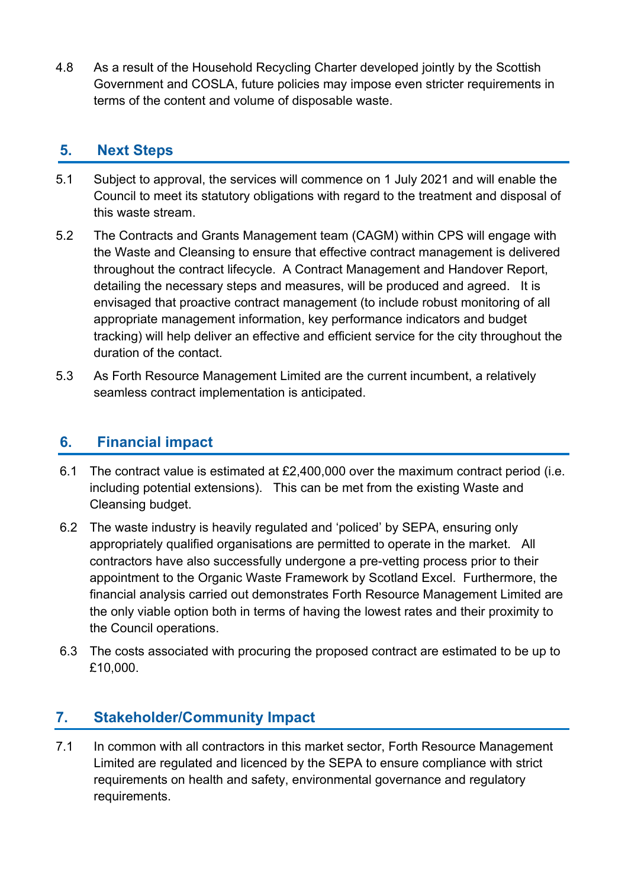4.8 As a result of the Household Recycling Charter developed jointly by the Scottish Government and COSLA, future policies may impose even stricter requirements in terms of the content and volume of disposable waste.

#### **5. Next Steps**

- 5.1 Subject to approval, the services will commence on 1 July 2021 and will enable the Council to meet its statutory obligations with regard to the treatment and disposal of this waste stream.
- 5.2 The Contracts and Grants Management team (CAGM) within CPS will engage with the Waste and Cleansing to ensure that effective contract management is delivered throughout the contract lifecycle. A Contract Management and Handover Report, detailing the necessary steps and measures, will be produced and agreed. It is envisaged that proactive contract management (to include robust monitoring of all appropriate management information, key performance indicators and budget tracking) will help deliver an effective and efficient service for the city throughout the duration of the contact.
- 5.3 As Forth Resource Management Limited are the current incumbent, a relatively seamless contract implementation is anticipated.

#### **6. Financial impact**

- 6.1 The contract value is estimated at £2,400,000 over the maximum contract period (i.e. including potential extensions). This can be met from the existing Waste and Cleansing budget.
- 6.2 The waste industry is heavily regulated and 'policed' by SEPA, ensuring only appropriately qualified organisations are permitted to operate in the market. All contractors have also successfully undergone a pre-vetting process prior to their appointment to the Organic Waste Framework by Scotland Excel. Furthermore, the financial analysis carried out demonstrates Forth Resource Management Limited are the only viable option both in terms of having the lowest rates and their proximity to the Council operations.
- 6.3 The costs associated with procuring the proposed contract are estimated to be up to £10,000.

### **7. Stakeholder/Community Impact**

7.1 In common with all contractors in this market sector, Forth Resource Management Limited are regulated and licenced by the SEPA to ensure compliance with strict requirements on health and safety, environmental governance and regulatory requirements.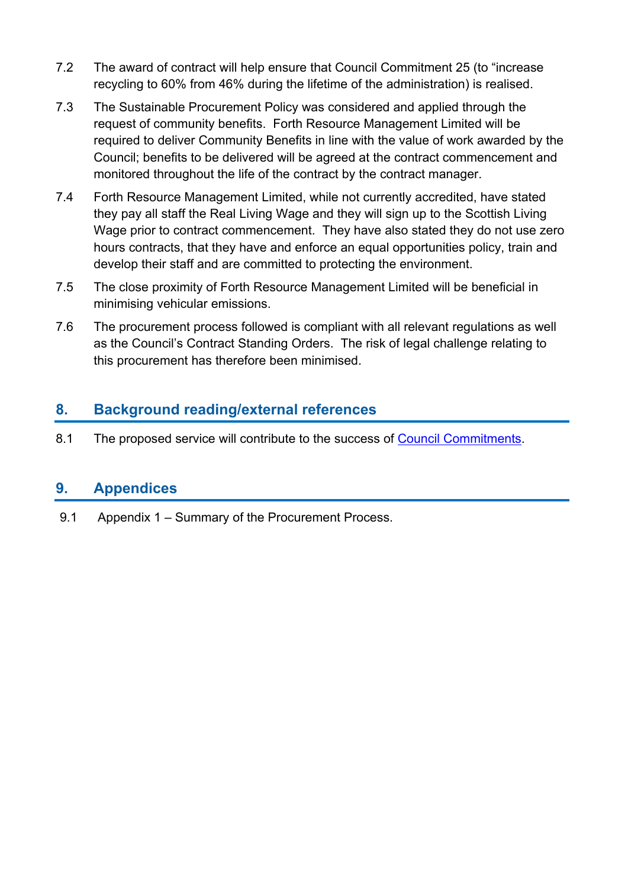- 7.2 The award of contract will help ensure that Council Commitment 25 (to "increase recycling to 60% from 46% during the lifetime of the administration) is realised.
- 7.3 The Sustainable Procurement Policy was considered and applied through the request of community benefits. Forth Resource Management Limited will be required to deliver Community Benefits in line with the value of work awarded by the Council; benefits to be delivered will be agreed at the contract commencement and monitored throughout the life of the contract by the contract manager.
- 7.4 Forth Resource Management Limited, while not currently accredited, have stated they pay all staff the Real Living Wage and they will sign up to the Scottish Living Wage prior to contract commencement. They have also stated they do not use zero hours contracts, that they have and enforce an equal opportunities policy, train and develop their staff and are committed to protecting the environment.
- 7.5 The close proximity of Forth Resource Management Limited will be beneficial in minimising vehicular emissions.
- 7.6 The procurement process followed is compliant with all relevant regulations as well as the Council's Contract Standing Orders. The risk of legal challenge relating to this procurement has therefore been minimised.

#### **8. Background reading/external references**

8.1 The proposed service will contribute to the success of Council Commitments.

#### **9. Appendices**

9.1 Appendix 1 – Summary of the Procurement Process.